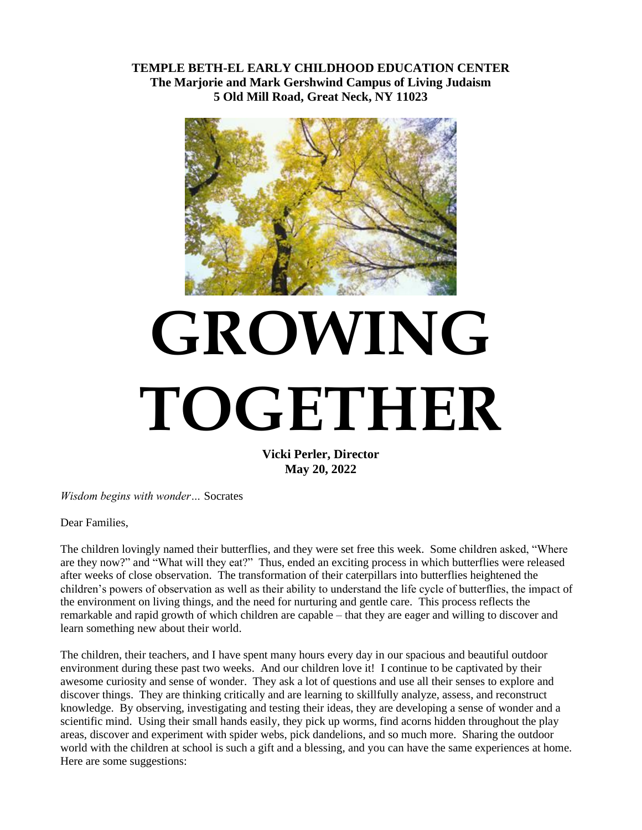**TEMPLE BETH-EL EARLY CHILDHOOD EDUCATION CENTER The Marjorie and Mark Gershwind Campus of Living Judaism 5 Old Mill Road, Great Neck, NY 11023**



# **GROWING TOGETHER**

**Vicki Perler, Director May 20, 2022**

*Wisdom begins with wonder…* Socrates

Dear Families,

The children lovingly named their butterflies, and they were set free this week. Some children asked, "Where are they now?" and "What will they eat?" Thus, ended an exciting process in which butterflies were released after weeks of close observation. The transformation of their caterpillars into butterflies heightened the children's powers of observation as well as their ability to understand the life cycle of butterflies, the impact of the environment on living things, and the need for nurturing and gentle care. This process reflects the remarkable and rapid growth of which children are capable – that they are eager and willing to discover and learn something new about their world.

The children, their teachers, and I have spent many hours every day in our spacious and beautiful outdoor environment during these past two weeks. And our children love it! I continue to be captivated by their awesome curiosity and sense of wonder. They ask a lot of questions and use all their senses to explore and discover things. They are thinking critically and are learning to skillfully analyze, assess, and reconstruct knowledge. By observing, investigating and testing their ideas, they are developing a sense of wonder and a scientific mind. Using their small hands easily, they pick up worms, find acorns hidden throughout the play areas, discover and experiment with spider webs, pick dandelions, and so much more. Sharing the outdoor world with the children at school is such a gift and a blessing, and you can have the same experiences at home. Here are some suggestions: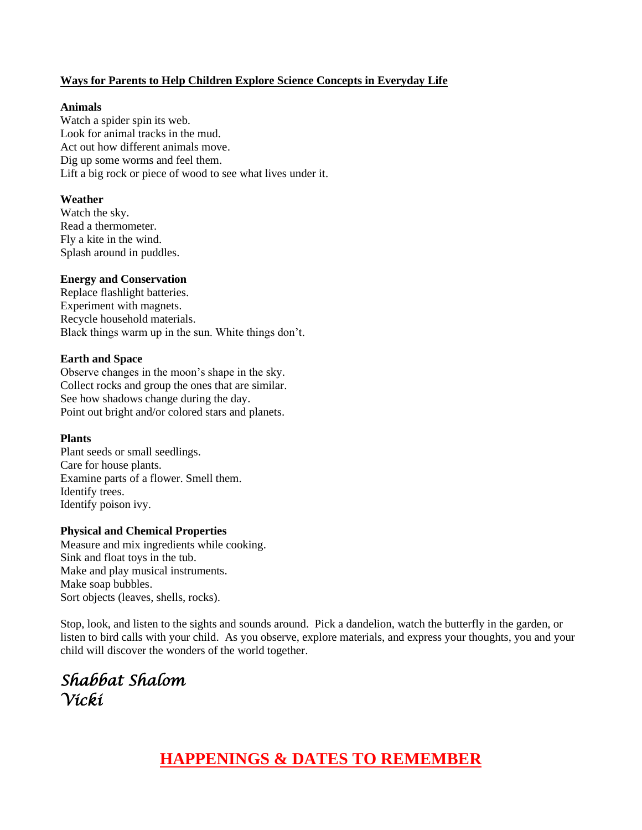#### **Ways for Parents to Help Children Explore Science Concepts in Everyday Life**

#### **Animals**

Watch a spider spin its web. Look for animal tracks in the mud. Act out how different animals move. Dig up some worms and feel them. Lift a big rock or piece of wood to see what lives under it.

#### **Weather**

Watch the sky. Read a thermometer. Fly a kite in the wind. Splash around in puddles.

#### **Energy and Conservation**

Replace flashlight batteries. Experiment with magnets. Recycle household materials. Black things warm up in the sun. White things don't.

#### **Earth and Space**

Observe changes in the moon's shape in the sky. Collect rocks and group the ones that are similar. See how shadows change during the day. Point out bright and/or colored stars and planets.

#### **Plants**

Plant seeds or small seedlings. Care for house plants. Examine parts of a flower. Smell them. Identify trees. Identify poison ivy.

#### **Physical and Chemical Properties**

Measure and mix ingredients while cooking. Sink and float toys in the tub. Make and play musical instruments. Make soap bubbles. Sort objects (leaves, shells, rocks).

Stop, look, and listen to the sights and sounds around. Pick a dandelion, watch the butterfly in the garden, or listen to bird calls with your child. As you observe, explore materials, and express your thoughts, you and your child will discover the wonders of the world together.

*Shabbat Shalom Vicki* 

## **HAPPENINGS & DATES TO REMEMBER**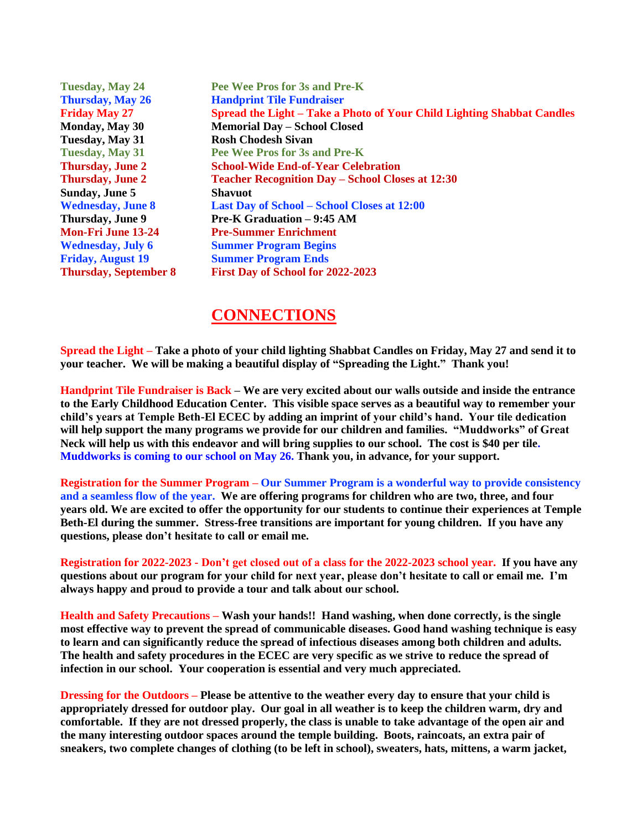**Tuesday, May 24 Pee Wee Pros for 3s and Pre-K Thursday, May 26 Handprint Tile Fundraiser Friday May 27 Spread the Light – Take a Photo of Your Child Lighting Shabbat Candles Monday, May 30 Memorial Day – School Closed Tuesday, May 31 Rosh Chodesh Sivan Tuesday, May 31 Pee Wee Pros for 3s and Pre-K Thursday, June 2 School-Wide End-of-Year Celebration Thursday, June 2 Teacher Recognition Day – School Closes at 12:30 Sunday, June 5 Shavuot Wednesday, June 8 Last Day of School – School Closes at 12:00 Thursday, June 9 Pre-K Graduation – 9:45 AM Mon-Fri June 13-24 Pre-Summer Enrichment Wednesday, July 6 Summer Program Begins Friday, August 19 Summer Program Ends Thursday, September 8 First Day of School for 2022-2023**

### **CONNECTIONS**

**Spread the Light – Take a photo of your child lighting Shabbat Candles on Friday, May 27 and send it to your teacher. We will be making a beautiful display of "Spreading the Light." Thank you!**

**Handprint Tile Fundraiser is Back – We are very excited about our walls outside and inside the entrance to the Early Childhood Education Center. This visible space serves as a beautiful way to remember your child's years at Temple Beth-El ECEC by adding an imprint of your child's hand. Your tile dedication will help support the many programs we provide for our children and families. "Muddworks" of Great Neck will help us with this endeavor and will bring supplies to our school. The cost is \$40 per tile. Muddworks is coming to our school on May 26. Thank you, in advance, for your support.**

**Registration for the Summer Program – Our Summer Program is a wonderful way to provide consistency and a seamless flow of the year. We are offering programs for children who are two, three, and four years old. We are excited to offer the opportunity for our students to continue their experiences at Temple Beth-El during the summer. Stress-free transitions are important for young children. If you have any questions, please don't hesitate to call or email me.**

**Registration for 2022-2023 - Don't get closed out of a class for the 2022-2023 school year. If you have any questions about our program for your child for next year, please don't hesitate to call or email me. I'm always happy and proud to provide a tour and talk about our school.** 

**Health and Safety Precautions – Wash your hands!! Hand washing, when done correctly, is the single most effective way to prevent the spread of communicable diseases. Good hand washing technique is easy to learn and can significantly reduce the spread of infectious diseases among both children and adults. The health and safety procedures in the ECEC are very specific as we strive to reduce the spread of infection in our school. Your cooperation is essential and very much appreciated.**

**Dressing for the Outdoors – Please be attentive to the weather every day to ensure that your child is appropriately dressed for outdoor play. Our goal in all weather is to keep the children warm, dry and comfortable. If they are not dressed properly, the class is unable to take advantage of the open air and the many interesting outdoor spaces around the temple building. Boots, raincoats, an extra pair of sneakers, two complete changes of clothing (to be left in school), sweaters, hats, mittens, a warm jacket,**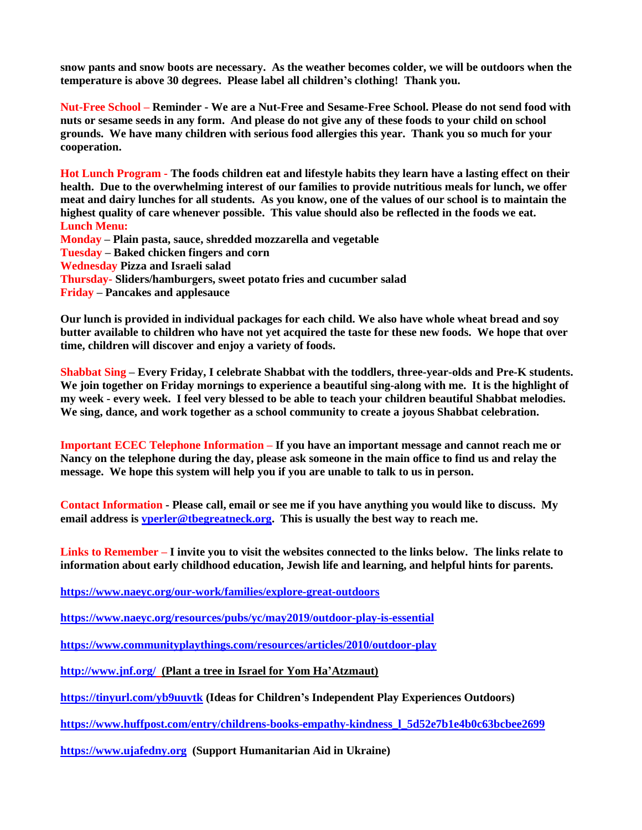**snow pants and snow boots are necessary. As the weather becomes colder, we will be outdoors when the temperature is above 30 degrees. Please label all children's clothing! Thank you.**

**Nut-Free School – Reminder - We are a Nut-Free and Sesame-Free School. Please do not send food with nuts or sesame seeds in any form. And please do not give any of these foods to your child on school grounds. We have many children with serious food allergies this year. Thank you so much for your cooperation.**

**Hot Lunch Program - The foods children eat and lifestyle habits they learn have a lasting effect on their health. Due to the overwhelming interest of our families to provide nutritious meals for lunch, we offer meat and dairy lunches for all students. As you know, one of the values of our school is to maintain the highest quality of care whenever possible. This value should also be reflected in the foods we eat. Lunch Menu:**

**Monday – Plain pasta, sauce, shredded mozzarella and vegetable Tuesday – Baked chicken fingers and corn Wednesday Pizza and Israeli salad Thursday- Sliders/hamburgers, sweet potato fries and cucumber salad Friday – Pancakes and applesauce**

**Our lunch is provided in individual packages for each child. We also have whole wheat bread and soy butter available to children who have not yet acquired the taste for these new foods. We hope that over time, children will discover and enjoy a variety of foods.**

**Shabbat Sing – Every Friday, I celebrate Shabbat with the toddlers, three-year-olds and Pre-K students. We join together on Friday mornings to experience a beautiful sing-along with me. It is the highlight of my week - every week. I feel very blessed to be able to teach your children beautiful Shabbat melodies. We sing, dance, and work together as a school community to create a joyous Shabbat celebration.** 

**Important ECEC Telephone Information – If you have an important message and cannot reach me or Nancy on the telephone during the day, please ask someone in the main office to find us and relay the message. We hope this system will help you if you are unable to talk to us in person.**

**Contact Information - Please call, email or see me if you have anything you would like to discuss. My email address is [vperler@tbegreatneck.org.](mailto:vperler@tbegreatneck.org) This is usually the best way to reach me.**

**Links to Remember – I invite you to visit the websites connected to the links below. The links relate to information about early childhood education, Jewish life and learning, and helpful hints for parents.**

**<https://www.naeyc.org/our-work/families/explore-great-outdoors>**

**<https://www.naeyc.org/resources/pubs/yc/may2019/outdoor-play-is-essential>**

**<https://www.communityplaythings.com/resources/articles/2010/outdoor-play>**

**<http://www.jnf.org/>(Plant a tree in Israel for Yom Ha'Atzmaut)**

**<https://tinyurl.com/yb9uuvtk> (Ideas for Children's Independent Play Experiences Outdoors)**

**[https://www.huffpost.com/entry/childrens-books-empathy-kindness\\_l\\_5d52e7b1e4b0c63bcbee2699](https://www.huffpost.com/entry/childrens-books-empathy-kindness_l_5d52e7b1e4b0c63bcbee2699)**

**[https://www.ujafedny.org](https://www.ujafedny.org/) (Support Humanitarian Aid in Ukraine)**